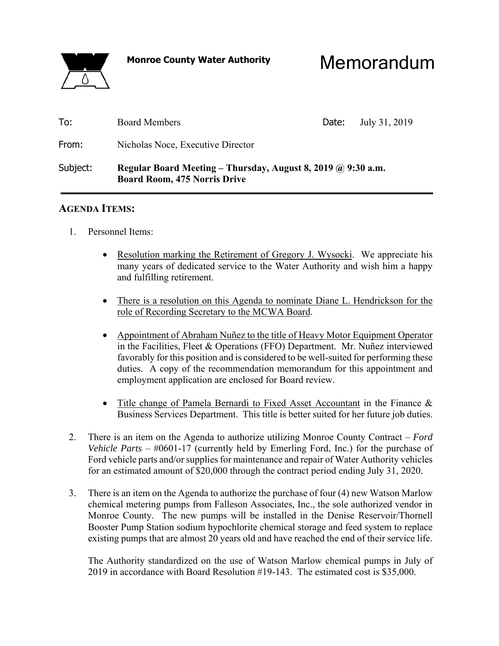# **Monroe County Water Authority** Memorandum

| To:      | <b>Board Members</b>                                                                                | Date: | July 31, 2019 |  |  |  |  |  |  |  |  |
|----------|-----------------------------------------------------------------------------------------------------|-------|---------------|--|--|--|--|--|--|--|--|
| From:    | Nicholas Noce, Executive Director                                                                   |       |               |  |  |  |  |  |  |  |  |
| Subject: | Regular Board Meeting – Thursday, August 8, 2019 @ 9:30 a.m.<br><b>Board Room, 475 Norris Drive</b> |       |               |  |  |  |  |  |  |  |  |

### **AGENDA ITEMS:**

- 1. Personnel Items:
	- Resolution marking the Retirement of Gregory J. Wysocki. We appreciate his many years of dedicated service to the Water Authority and wish him a happy and fulfilling retirement.
	- There is a resolution on this Agenda to nominate Diane L. Hendrickson for the role of Recording Secretary to the MCWA Board.
	- Appointment of Abraham Nuñez to the title of Heavy Motor Equipment Operator in the Facilities, Fleet & Operations (FFO) Department. Mr. Nuñez interviewed favorably for this position and is considered to be well-suited for performing these duties. A copy of the recommendation memorandum for this appointment and employment application are enclosed for Board review.
	- Title change of Pamela Bernardi to Fixed Asset Accountant in the Finance & Business Services Department. This title is better suited for her future job duties.
- 2. There is an item on the Agenda to authorize utilizing Monroe County Contract *Ford Vehicle Parts* – #0601-17 (currently held by Emerling Ford, Inc.) for the purchase of Ford vehicle parts and/or supplies for maintenance and repair of Water Authority vehicles for an estimated amount of \$20,000 through the contract period ending July 31, 2020.
- 3. There is an item on the Agenda to authorize the purchase of four (4) new Watson Marlow chemical metering pumps from Falleson Associates, Inc., the sole authorized vendor in Monroe County. The new pumps will be installed in the Denise Reservoir/Thornell Booster Pump Station sodium hypochlorite chemical storage and feed system to replace existing pumps that are almost 20 years old and have reached the end of their service life.

 The Authority standardized on the use of Watson Marlow chemical pumps in July of 2019 in accordance with Board Resolution #19-143. The estimated cost is \$35,000.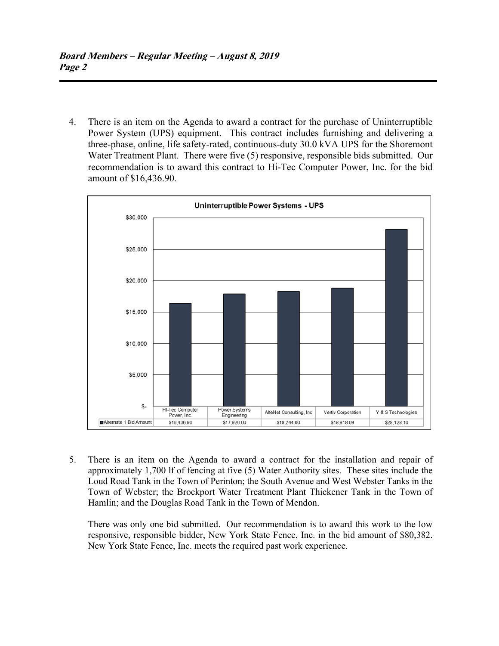4. There is an item on the Agenda to award a contract for the purchase of Uninterruptible Power System (UPS) equipment. This contract includes furnishing and delivering a three-phase, online, life safety-rated, continuous-duty 30.0 kVA UPS for the Shoremont Water Treatment Plant. There were five (5) responsive, responsible bids submitted. Our recommendation is to award this contract to Hi-Tec Computer Power, Inc. for the bid amount of \$16,436.90.



 5. There is an item on the Agenda to award a contract for the installation and repair of approximately 1,700 lf of fencing at five (5) Water Authority sites. These sites include the Loud Road Tank in the Town of Perinton; the South Avenue and West Webster Tanks in the Town of Webster; the Brockport Water Treatment Plant Thickener Tank in the Town of Hamlin; and the Douglas Road Tank in the Town of Mendon.

 There was only one bid submitted. Our recommendation is to award this work to the low responsive, responsible bidder, New York State Fence, Inc. in the bid amount of \$80,382. New York State Fence, Inc. meets the required past work experience.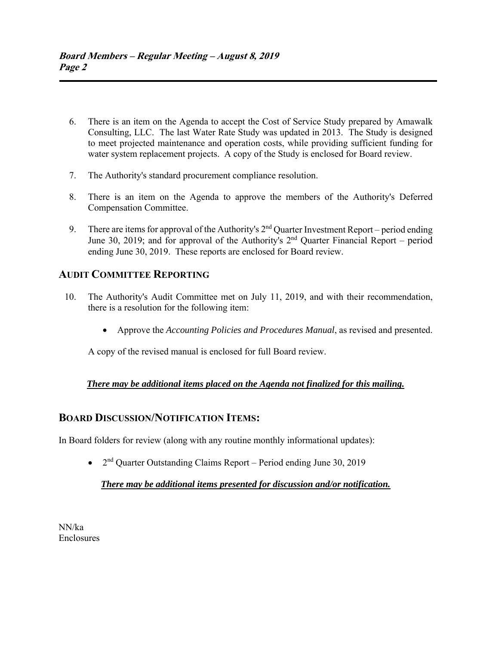- 6. There is an item on the Agenda to accept the Cost of Service Study prepared by Amawalk Consulting, LLC. The last Water Rate Study was updated in 2013. The Study is designed to meet projected maintenance and operation costs, while providing sufficient funding for water system replacement projects. A copy of the Study is enclosed for Board review.
- 7. The Authority's standard procurement compliance resolution.
- 8. There is an item on the Agenda to approve the members of the Authority's Deferred Compensation Committee.
- 9. There are items for approval of the Authority's  $2<sup>nd</sup>$  Quarter Investment Report period ending June 30, 2019; and for approval of the Authority's  $2<sup>nd</sup>$  Ouarter Financial Report – period ending June 30, 2019. These reports are enclosed for Board review.

## **AUDIT COMMITTEE REPORTING**

- 10. The Authority's Audit Committee met on July 11, 2019, and with their recommendation, there is a resolution for the following item:
	- Approve the *Accounting Policies and Procedures Manual*, as revised and presented.

A copy of the revised manual is enclosed for full Board review.

#### *There may be additional items placed on the Agenda not finalized for this mailing.*

### **BOARD DISCUSSION/NOTIFICATION ITEMS:**

In Board folders for review (along with any routine monthly informational updates):

 $\bullet$  2<sup>nd</sup> Quarter Outstanding Claims Report – Period ending June 30, 2019

#### *There may be additional items presented for discussion and/or notification.*

NN/ka Enclosures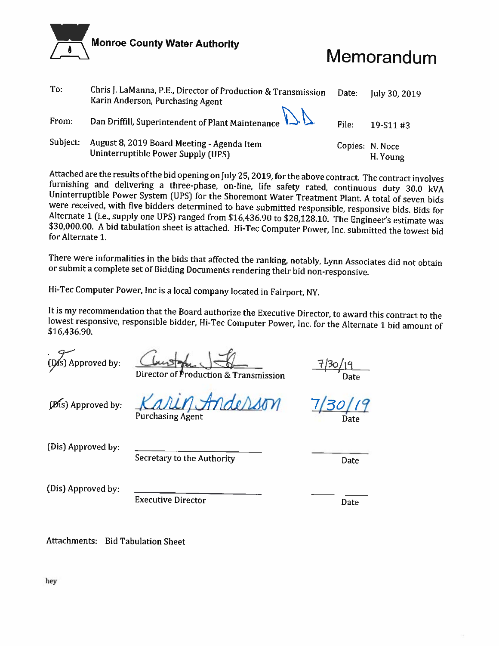

# Memorandum

| To:      | Chris J. LaManna, P.E., Director of Production & Transmission<br>Karin Anderson, Purchasing Agent | Date: | July 30, 2019               |
|----------|---------------------------------------------------------------------------------------------------|-------|-----------------------------|
| From:    | Dan Driffill, Superintendent of Plant Maintenance $\mathbb{Q}\mathbb{A}$                          | File: | 19-S11#3                    |
| Subject: | August 8, 2019 Board Meeting - Agenda Item<br>Uninterruptible Power Supply (UPS)                  |       | Copies: N. Noce<br>H. Young |

Attached are the results of the bid opening on July 25, 2019, for the above contract. The contract involves furnishing and delivering a three-phase, on-line, life safety rated, continuous duty 30.0 kVA Uninterruptible Power System (UPS) for the Shoremont Water Treatment Plant. A total of seven bids were received, with five bidders determined to have submitted responsible, responsive bids. Bids for Alternate 1 (i.e., supply one UPS) ranged from \$16,436.90 to \$28,128.10. The Engineer's estimate was \$30,000.00. A bid tabulation sheet is attached. Hi-Tec Computer Power, Inc. submitted the lowest bid for Alternate 1.

There were informalities in the bids that affected the ranking, notably, Lynn Associates did not obtain or submit a complete set of Bidding Documents rendering their bid non-responsive.

Hi-Tec Computer Power, Inc is a local company located in Fairport, NY.

It is my recommendation that the Board authorize the Executive Director, to award this contract to the lowest responsive, responsible bidder, Hi-Tec Computer Power, Inc. for the Alternate 1 bid amount of \$16,436.90.

(Dis) Approved by:

roduction & Transmission

(Dis) Approved by:

thae/Win **Purchasing Agent** 

(Dis) Approved by:

Secretary to the Authority

Date

(Dis) Approved by:

**Executive Director** 

Date

Attachments: Bid Tabulation Sheet

hey